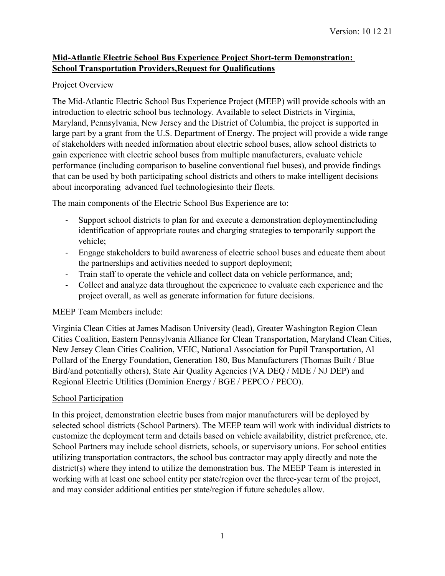## **Mid-Atlantic Electric School Bus Experience Project Short-term Demonstration: School Transportation Providers,Request for Qualifications**

#### Project Overview

The Mid-Atlantic Electric School Bus Experience Project (MEEP) will provide schools with an introduction to electric school bus technology. Available to select Districts in Virginia, Maryland, Pennsylvania, New Jersey and the District of Columbia, the project is supported in large part by a grant from the U.S. Department of Energy. The project will provide a wide range of stakeholders with needed information about electric school buses, allow school districts to gain experience with electric school buses from multiple manufacturers, evaluate vehicle performance (including comparison to baseline conventional fuel buses), and provide findings that can be used by both participating school districts and others to make intelligent decisions about incorporating advanced fuel technologiesinto their fleets.

The main components of the Electric School Bus Experience are to:

- Support school districts to plan for and execute a demonstration deploymentincluding identification of appropriate routes and charging strategies to temporarily support the vehicle;
- Engage stakeholders to build awareness of electric school buses and educate them about the partnerships and activities needed to support deployment;
- Train staff to operate the vehicle and collect data on vehicle performance, and;
- Collect and analyze data throughout the experience to evaluate each experience and the project overall, as well as generate information for future decisions.

## MEEP Team Members include:

Virginia Clean Cities at James Madison University (lead), Greater Washington Region Clean Cities Coalition, Eastern Pennsylvania Alliance for Clean Transportation, Maryland Clean Cities, New Jersey Clean Cities Coalition, VEIC, National Association for Pupil Transportation, Al Pollard of the Energy Foundation, Generation 180, Bus Manufacturers (Thomas Built / Blue Bird/and potentially others), State Air Quality Agencies (VA DEQ / MDE / NJ DEP) and Regional Electric Utilities (Dominion Energy / BGE / PEPCO / PECO).

#### School Participation

In this project, demonstration electric buses from major manufacturers will be deployed by selected school districts (School Partners). The MEEP team will work with individual districts to customize the deployment term and details based on vehicle availability, district preference, etc. School Partners may include school districts, schools, or supervisory unions. For school entities utilizing transportation contractors, the school bus contractor may apply directly and note the district(s) where they intend to utilize the demonstration bus. The MEEP Team is interested in working with at least one school entity per state/region over the three-year term of the project, and may consider additional entities per state/region if future schedules allow.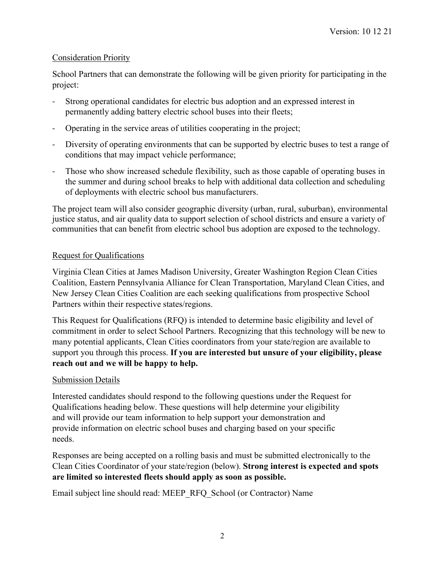## Consideration Priority

School Partners that can demonstrate the following will be given priority for participating in the project:

- Strong operational candidates for electric bus adoption and an expressed interest in permanently adding battery electric school buses into their fleets;
- Operating in the service areas of utilities cooperating in the project;
- Diversity of operating environments that can be supported by electric buses to test a range of conditions that may impact vehicle performance;
- Those who show increased schedule flexibility, such as those capable of operating buses in the summer and during school breaks to help with additional data collection and scheduling of deployments with electric school bus manufacturers.

The project team will also consider geographic diversity (urban, rural, suburban), environmental justice status, and air quality data to support selection of school districts and ensure a variety of communities that can benefit from electric school bus adoption are exposed to the technology.

# Request for Qualifications

Virginia Clean Cities at James Madison University, Greater Washington Region Clean Cities Coalition, Eastern Pennsylvania Alliance for Clean Transportation, Maryland Clean Cities, and New Jersey Clean Cities Coalition are each seeking qualifications from prospective School Partners within their respective states/regions.

This Request for Qualifications (RFQ) is intended to determine basic eligibility and level of commitment in order to select School Partners. Recognizing that this technology will be new to many potential applicants, Clean Cities coordinators from your state/region are available to support you through this process. **If you are interested but unsure of your eligibility, please reach out and we will be happy to help.**

# Submission Details

Interested candidates should respond to the following questions under the Request for Qualifications heading below. These questions will help determine your eligibility and will provide our team information to help support your demonstration and provide information on electric school buses and charging based on your specific needs.

Responses are being accepted on a rolling basis and must be submitted electronically to the Clean Cities Coordinator of your state/region (below). **Strong interest is expected and spots are limited so interested fleets should apply as soon as possible.**

Email subject line should read: MEEP\_RFQ\_School (or Contractor) Name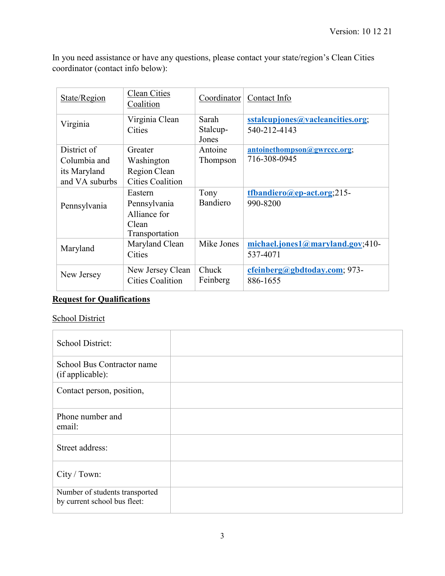In you need assistance or have any questions, please contact your state/region's Clean Cities coordinator (contact info below):

| State/Region   | <b>Clean Cities</b><br>Coalition | Coordinator                | Contact Info                                     |
|----------------|----------------------------------|----------------------------|--------------------------------------------------|
| Virginia       | Virginia Clean<br>Cities         | Sarah<br>Stalcup-<br>Jones | sstalcupjones@vacleancities.org;<br>540-212-4143 |
| District of    | Greater                          | Antoine                    | antoinethompson@gwrccc.org;                      |
| Columbia and   | Washington                       | Thompson                   | 716-308-0945                                     |
| its Maryland   | Region Clean                     |                            |                                                  |
| and VA suburbs | <b>Cities Coalition</b>          |                            |                                                  |
|                | Eastern                          | Tony                       | $t$ fbandiero@ep-act.org;215-                    |
| Pennsylvania   | Pennsylvania                     | Bandiero                   | 990-8200                                         |
|                | Alliance for                     |                            |                                                  |
|                | Clean                            |                            |                                                  |
|                | Transportation                   |                            |                                                  |
| Maryland       | Maryland Clean                   | Mike Jones                 | $michael. jones1@maryland.gov;410-$              |
|                | Cities                           |                            | 537-4071                                         |
| New Jersey     | New Jersey Clean                 | Chuck                      | cfeinberg@gbdtoday.com; 973-                     |
|                | <b>Cities Coalition</b>          | Feinberg                   | 886-1655                                         |
|                |                                  |                            |                                                  |

# **Request for Qualifications**

# School District

| School District:                                               |  |
|----------------------------------------------------------------|--|
| School Bus Contractor name<br>(if applicable):                 |  |
| Contact person, position,                                      |  |
| Phone number and<br>email:                                     |  |
| Street address:                                                |  |
| City / Town:                                                   |  |
| Number of students transported<br>by current school bus fleet: |  |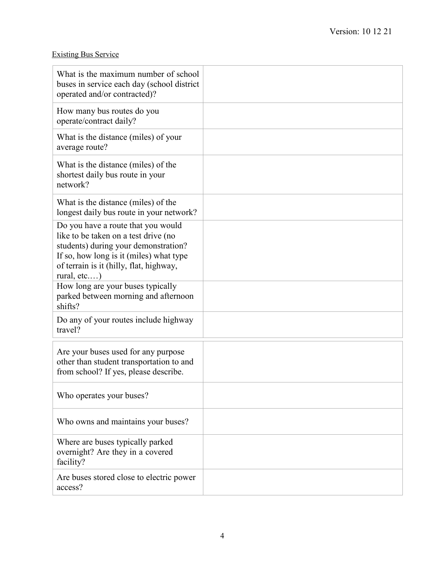# Existing Bus Service

| What is the maximum number of school<br>buses in service each day (school district<br>operated and/or contracted)?                                                                                                         |  |
|----------------------------------------------------------------------------------------------------------------------------------------------------------------------------------------------------------------------------|--|
| How many bus routes do you<br>operate/contract daily?                                                                                                                                                                      |  |
| What is the distance (miles) of your<br>average route?                                                                                                                                                                     |  |
| What is the distance (miles) of the<br>shortest daily bus route in your<br>network?                                                                                                                                        |  |
| What is the distance (miles) of the<br>longest daily bus route in your network?                                                                                                                                            |  |
| Do you have a route that you would<br>like to be taken on a test drive (no<br>students) during your demonstration?<br>If so, how long is it (miles) what type<br>of terrain is it (hilly, flat, highway,<br>rural, $etc$ ) |  |
| How long are your buses typically<br>parked between morning and afternoon<br>shifts?                                                                                                                                       |  |
| Do any of your routes include highway<br>travel?                                                                                                                                                                           |  |
| Are your buses used for any purpose<br>other than student transportation to and<br>from school? If yes, please describe.                                                                                                   |  |
| Who operates your buses?                                                                                                                                                                                                   |  |
| Who owns and maintains your buses?                                                                                                                                                                                         |  |
| Where are buses typically parked<br>overnight? Are they in a covered<br>facility?                                                                                                                                          |  |
| Are buses stored close to electric power<br>access?                                                                                                                                                                        |  |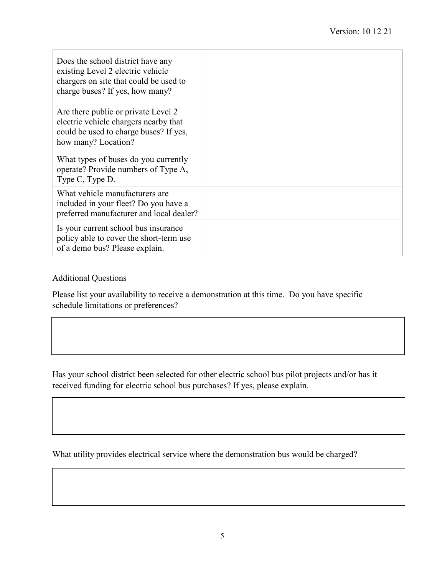| Does the school district have any<br>existing Level 2 electric vehicle<br>chargers on site that could be used to<br>charge buses? If yes, how many? |  |
|-----------------------------------------------------------------------------------------------------------------------------------------------------|--|
| Are there public or private Level 2<br>electric vehicle chargers nearby that<br>could be used to charge buses? If yes,<br>how many? Location?       |  |
| What types of buses do you currently<br>operate? Provide numbers of Type A,<br>Type C, Type D.                                                      |  |
| What vehicle manufacturers are<br>included in your fleet? Do you have a<br>preferred manufacturer and local dealer?                                 |  |
| Is your current school bus insurance<br>policy able to cover the short-term use<br>of a demo bus? Please explain.                                   |  |

#### Additional Questions

Please list your availability to receive a demonstration at this time. Do you have specific schedule limitations or preferences?

Has your school district been selected for other electric school bus pilot projects and/or has it received funding for electric school bus purchases? If yes, please explain.

What utility provides electrical service where the demonstration bus would be charged?